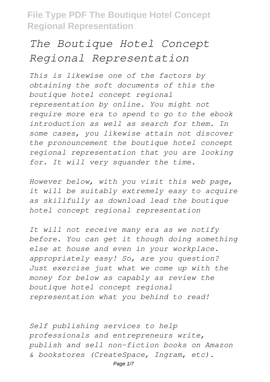# *The Boutique Hotel Concept Regional Representation*

*This is likewise one of the factors by obtaining the soft documents of this the boutique hotel concept regional representation by online. You might not require more era to spend to go to the ebook introduction as well as search for them. In some cases, you likewise attain not discover the pronouncement the boutique hotel concept regional representation that you are looking for. It will very squander the time.*

*However below, with you visit this web page, it will be suitably extremely easy to acquire as skillfully as download lead the boutique hotel concept regional representation*

*It will not receive many era as we notify before. You can get it though doing something else at house and even in your workplace. appropriately easy! So, are you question? Just exercise just what we come up with the money for below as capably as review the boutique hotel concept regional representation what you behind to read!*

*Self publishing services to help professionals and entrepreneurs write, publish and sell non-fiction books on Amazon & bookstores (CreateSpace, Ingram, etc).*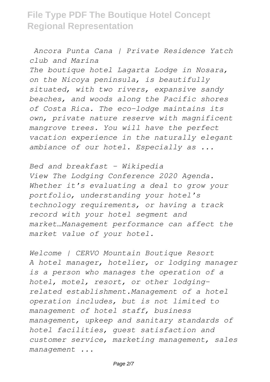*Ancora Punta Cana | Private Residence Yatch club and Marina The boutique hotel Lagarta Lodge in Nosara, on the Nicoya peninsula, is beautifully situated, with two rivers, expansive sandy beaches, and woods along the Pacific shores of Costa Rica. The eco-lodge maintains its own, private nature reserve with magnificent mangrove trees. You will have the perfect vacation experience in the naturally elegant ambiance of our hotel. Especially as ...*

*Bed and breakfast - Wikipedia View The Lodging Conference 2020 Agenda. Whether it's evaluating a deal to grow your portfolio, understanding your hotel's technology requirements, or having a track record with your hotel segment and market…Management performance can affect the market value of your hotel.*

*Welcome | CERVO Mountain Boutique Resort A hotel manager, hotelier, or lodging manager is a person who manages the operation of a hotel, motel, resort, or other lodgingrelated establishment.Management of a hotel operation includes, but is not limited to management of hotel staff, business management, upkeep and sanitary standards of hotel facilities, guest satisfaction and customer service, marketing management, sales management ...*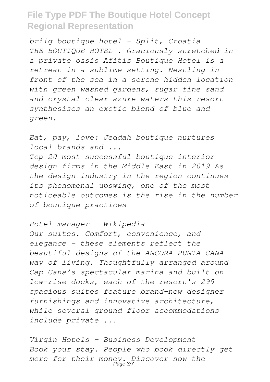*briig boutique hotel - Split, Croatia THE BOUTIQUE HOTEL . Graciously stretched in a private oasis Afitis Boutique Hotel is a retreat in a sublime setting. Nestling in front of the sea in a serene hidden location with green washed gardens, sugar fine sand and crystal clear azure waters this resort synthesises an exotic blend of blue and green.*

*Eat, pay, love: Jeddah boutique nurtures local brands and ... Top 20 most successful boutique interior design firms in the Middle East in 2019 As the design industry in the region continues its phenomenal upswing, one of the most noticeable outcomes is the rise in the number of boutique practices*

*Hotel manager - Wikipedia Our suites. Comfort, convenience, and elegance – these elements reflect the beautiful designs of the ANCORA PUNTA CANA way of living. Thoughtfully arranged around Cap Cana's spectacular marina and built on low-rise docks, each of the resort's 299 spacious suites feature brand-new designer furnishings and innovative architecture, while several ground floor accommodations include private ...*

*Virgin Hotels - Business Development Book your stay. People who book directly get more for their money. Discover now the* Page 3/7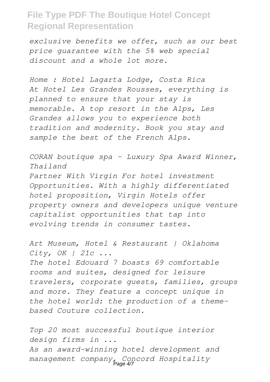*exclusive benefits we offer, such as our best price guarantee with the 5% web special discount and a whole lot more.*

*Home : Hotel Lagarta Lodge, Costa Rica At Hotel Les Grandes Rousses, everything is planned to ensure that your stay is memorable. A top resort in the Alps, Les Grandes allows you to experience both tradition and modernity. Book you stay and sample the best of the French Alps.*

*CORAN boutique spa - Luxury Spa Award Winner, Thailand*

*Partner With Virgin For hotel investment Opportunities. With a highly differentiated hotel proposition, Virgin Hotels offer property owners and developers unique venture capitalist opportunities that tap into evolving trends in consumer tastes.*

*Art Museum, Hotel & Restaurant | Oklahoma City, OK | 21c ...*

*The hotel Edouard 7 boasts 69 comfortable rooms and suites, designed for leisure travelers, corporate guests, families, groups and more. They feature a concept unique in the hotel world: the production of a themebased Couture collection.*

*Top 20 most successful boutique interior design firms in ... As an award-winning hotel development and management company, Concord Hospitality* Page 4/7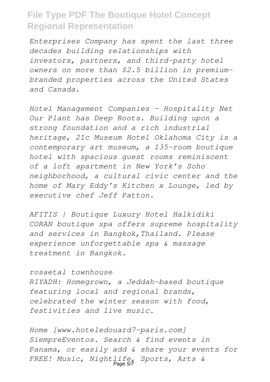*Enterprises Company has spent the last three decades building relationships with investors, partners, and third-party hotel owners on more than \$2.5 billion in premiumbranded properties across the United States and Canada.*

*Hotel Management Companies – Hospitality Net Our Plant has Deep Roots. Building upon a strong foundation and a rich industrial heritage, 21c Museum Hotel Oklahoma City is a contemporary art museum, a 135-room boutique hotel with spacious guest rooms reminiscent of a loft apartment in New York's Soho neighborhood, a cultural civic center and the home of Mary Eddy's Kitchen x Lounge, led by executive chef Jeff Patton.*

*AFITIS | Boutique Luxury Hotel Halkidiki CORAN boutique spa offers supreme hospitality and services in Bangkok,Thailand. Please experience unforgettable spa & massage treatment in Bangkok.*

*rosaetal townhouse RIYADH: Homegrown, a Jeddah-based boutique featuring local and regional brands, celebrated the winter season with food, festivities and live music.*

*Home [www.hoteledouard7-paris.com] SiempreEventos. Search & find events in Panama, or easily add & share your events for FREE! Music, Nightlife, Sports, Arts &* Page 5/7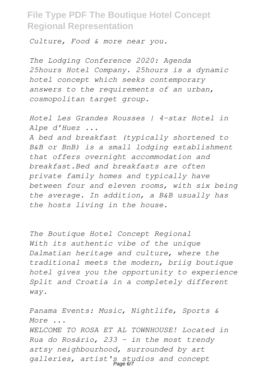*Culture, Food & more near you.*

*The Lodging Conference 2020: Agenda 25hours Hotel Company. 25hours is a dynamic hotel concept which seeks contemporary answers to the requirements of an urban, cosmopolitan target group.*

*Hotel Les Grandes Rousses | 4-star Hotel in Alpe d'Huez ...*

*A bed and breakfast (typically shortened to B&B or BnB) is a small lodging establishment that offers overnight accommodation and breakfast.Bed and breakfasts are often private family homes and typically have between four and eleven rooms, with six being the average. In addition, a B&B usually has the hosts living in the house.*

*The Boutique Hotel Concept Regional With its authentic vibe of the unique Dalmatian heritage and culture, where the traditional meets the modern, briig boutique hotel gives you the opportunity to experience Split and Croatia in a completely different way.*

*Panama Events: Music, Nightlife, Sports & More ... WELCOME TO ROSA ET AL TOWNHOUSE! Located in Rua do Rosário, 233 - in the most trendy artsy neighbourhood, surrounded by art galleries, artist's studios and concept* Page 6/7